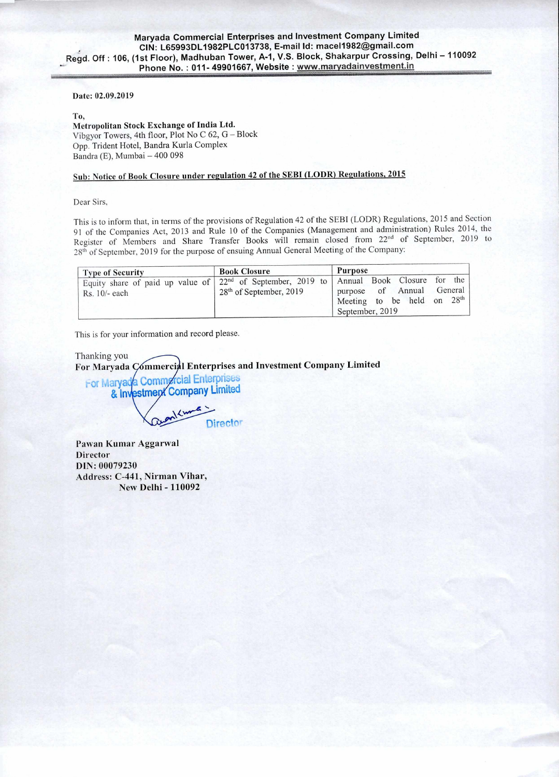#### Date: 02.09.2019

### To,

Metropolitan Stock Exchange of India Ltd. Vibgyor Towers, 4th floor, Plot No C 62, G — Block Opp. Trident Hotel, Bandra Kurla Complex Bandra (E), Mumbai — 400 098

# Sub: Notice of Book Closure under regulation 42 of the SEBI (LODR) Regulations, 2015

Dear Sirs,

This is to inform that, in terms of the provisions of Regulation 42 of the SEBI (LODR) Regulations, 2015 and Section 91 of the Companies Act, 2013 and Rule 10 of the Companies (Management and administration) Rules 2014, the Register of Members and Share Transfer Books will remain closed from 22<sup>nd</sup> of September, 2019 to 28th of September, 2019 for the purpose of ensuing Annual General Meeting of the Company:

| <b>Type of Security</b>                                                                                                        | <b>Book Closure</b>       | Purpose                                                                                     |
|--------------------------------------------------------------------------------------------------------------------------------|---------------------------|---------------------------------------------------------------------------------------------|
| Equity share of paid up value of $\left  22^{nd} \right $ of September, 2019 to Annual Book Closure for the<br>$Rs. 10/- each$ | $28th$ of September, 2019 | of Annual General<br>purpose<br>Meeting to be held on 28 <sup>th</sup> .<br>September, 2019 |

This is for your information and record please.

Thanking you For Maryada Commercial Enterprises and Investment Company Limited

ror Marya & Investment Company Limited **Commercial Enterprises** 

**Director** 

Pawan Kumar Aggarwal Director DIN: 00079230 Address: C-441, Nirman Vihar, New Delhi - 110092